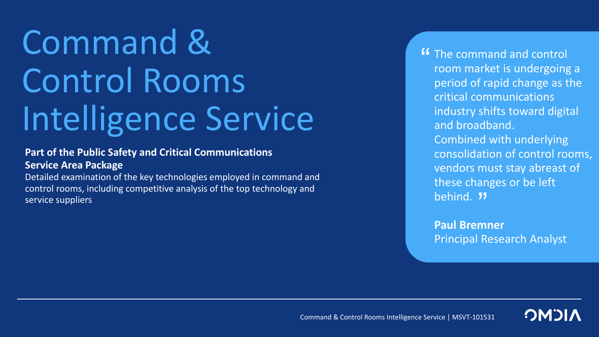# Command & Control Rooms Intelligence Service

**Part of the Public Safety and Critical Communications Service Area Package**

Detailed examination of the key technologies employed in command and control rooms, including competitive analysis of the top technology and service suppliers

**"** The command and control<br>room market is undergoing room market is undergoing a period of rapid change as the critical communications industry shifts toward digital and broadband. Combined with underlying consolidation of control rooms, vendors must stay abreast of these changes or be left behind. "

**Paul Bremner** Principal Research Analyst

Command & Control Rooms Intelligence Service | MSVT-101531

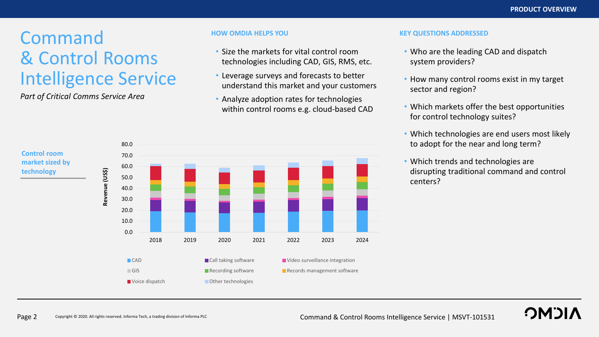# Command & Control Rooms Intelligence Service

*Part of Critical Comms Service Area*

- Size the markets for vital control room technologies including CAD, GIS, RMS, etc.
- Leverage surveys and forecasts to better understand this market and your customers
- Analyze adoption rates for technologies within control rooms e.g. cloud-based CAD

#### **HOW OMDIA HELPS YOU KEY QUESTIONS ADDRESSED**

- Who are the leading CAD and dispatch system providers?
- How many control rooms exist in my target sector and region?
- Which markets offer the best opportunities for control technology suites?
- Which technologies are end users most likely to adopt for the near and long term?
- Which trends and technologies are disrupting traditional command and control centers?

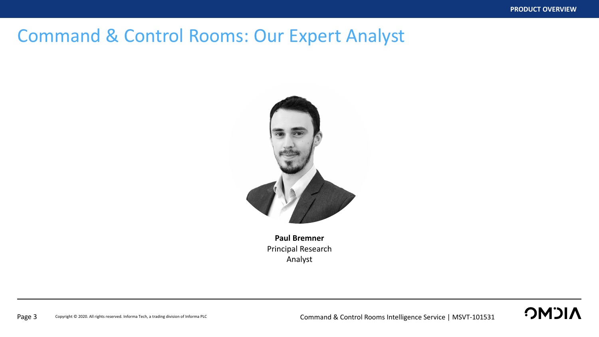### Command & Control Rooms: Our Expert Analyst



**Paul Bremner** Principal Research Analyst

### **OMDIA**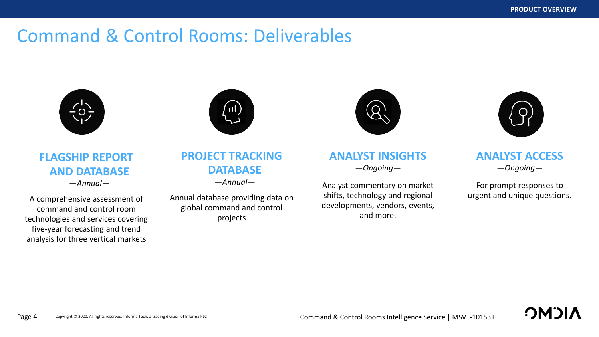### Command & Control Rooms: Deliverables



**FLAGSHIP REPORT AND DATABASE** —*Annual—*

A comprehensive assessment of command and control room technologies and services covering five-year forecasting and trend analysis for three vertical markets



### **PROJECT TRACKING DATABASE**

—*Annual—*

Annual database providing data on global command and control projects



### **ANALYST INSIGHTS** —*Ongoing—*

Analyst commentary on market shifts, technology and regional developments, vendors, events, and more.



### **ANALYST ACCESS** —*Ongoing—*

For prompt responses to urgent and unique questions.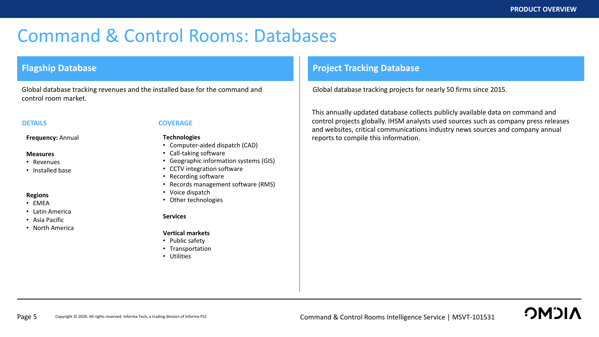### Command & Control Rooms: Databases

#### **Flagship Database**

Global database tracking revenues and the installed base for the command and control room market.

**Frequency:** Annual

#### **Measures**

- Revenues
- Installed base

#### **Regions**

- EMEA
- Latin America
- Asia Pacific
- North America

#### **DETAILS COVERAGE**

#### **Technologies**

- Computer-aided dispatch (CAD)
- Call-taking software
- Geographic information systems (GIS)
- CCTV integration software
- Recording software
- Records management software (RMS)
- Voice dispatch
- Other technologies

#### **Services**

#### **Vertical markets**

- Public safety
- Transportation
- Utilities

#### **Project Tracking Database**

Global database tracking projects for nearly 50 firms since 2015.

This annually updated database collects publicly available data on command and control projects globally. IHSM analysts used sources such as company press releases and websites, critical communications industry news sources and company annual reports to compile this information.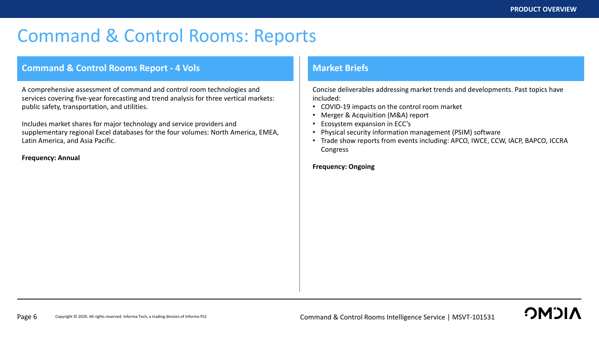**OMOL** 

## Command & Control Rooms: Reports

#### **Command & Control Rooms Report - 4 Vols Market Briefs Market Briefs**

A comprehensive assessment of command and control room technologies and services covering five-year forecasting and trend analysis for three vertical markets: public safety, transportation, and utilities.

Includes market shares for major technology and service providers and supplementary regional Excel databases for the four volumes: North America, EMEA, Latin America, and Asia Pacific.

**Frequency: Annual**

Concise deliverables addressing market trends and developments. Past topics have included:

- COVID-19 impacts on the control room market
- Merger & Acquisition (M&A) report
- Ecosystem expansion in ECC's
- Physical security information management (PSIM) software
- Trade show reports from events including: APCO, IWCE, CCW, IACP, BAPCO, ICCRA Congress

#### **Frequency: Ongoing**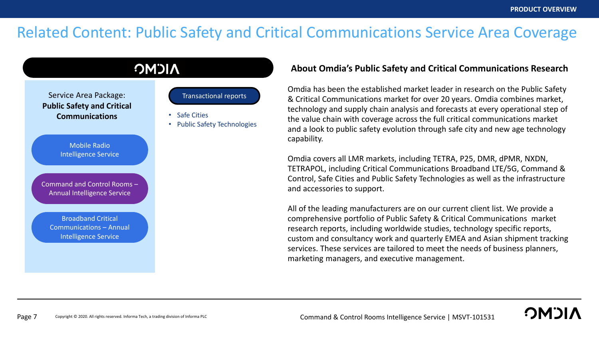**OMDI** 

### Related Content: Public Safety and Critical Communications Service Area Coverage



#### **About Omdia's Public Safety and Critical Communications Research**

Omdia has been the established market leader in research on the Public Safety & Critical Communications market for over 20 years. Omdia combines market, technology and supply chain analysis and forecasts at every operational step of the value chain with coverage across the full critical communications market and a look to public safety evolution through safe city and new age technology capability.

Omdia covers all LMR markets, including TETRA, P25, DMR, dPMR, NXDN, TETRAPOL, including Critical Communications Broadband LTE/5G, Command & Control, Safe Cities and Public Safety Technologies as well as the infrastructure and accessories to support.

All of the leading manufacturers are on our current client list. We provide a comprehensive portfolio of Public Safety & Critical Communications market research reports, including worldwide studies, technology specific reports, custom and consultancy work and quarterly EMEA and Asian shipment tracking services. These services are tailored to meet the needs of business planners, marketing managers, and executive management.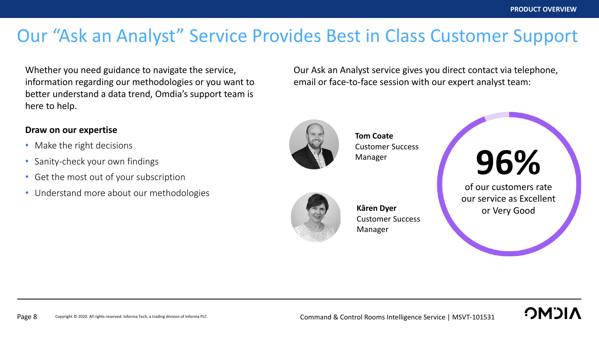# Our "Ask an Analyst" Service Provides Best in Class Customer Support

Whether you need guidance to navigate the service, information regarding our methodologies or you want to better understand a data trend, Omdia's support team is here to help.

### **Draw on our expertise**

- Make the right decisions
- Sanity-check your own findings
- Get the most out of your subscription
- Understand more about our methodologies

Our Ask an Analyst service gives you direct contact via telephone, email or face-to-face session with our expert analyst team:



**Tom Coate** Customer Success Manager



**Kâren Dyer** Customer Success Manager



our service as Excellent or Very Good